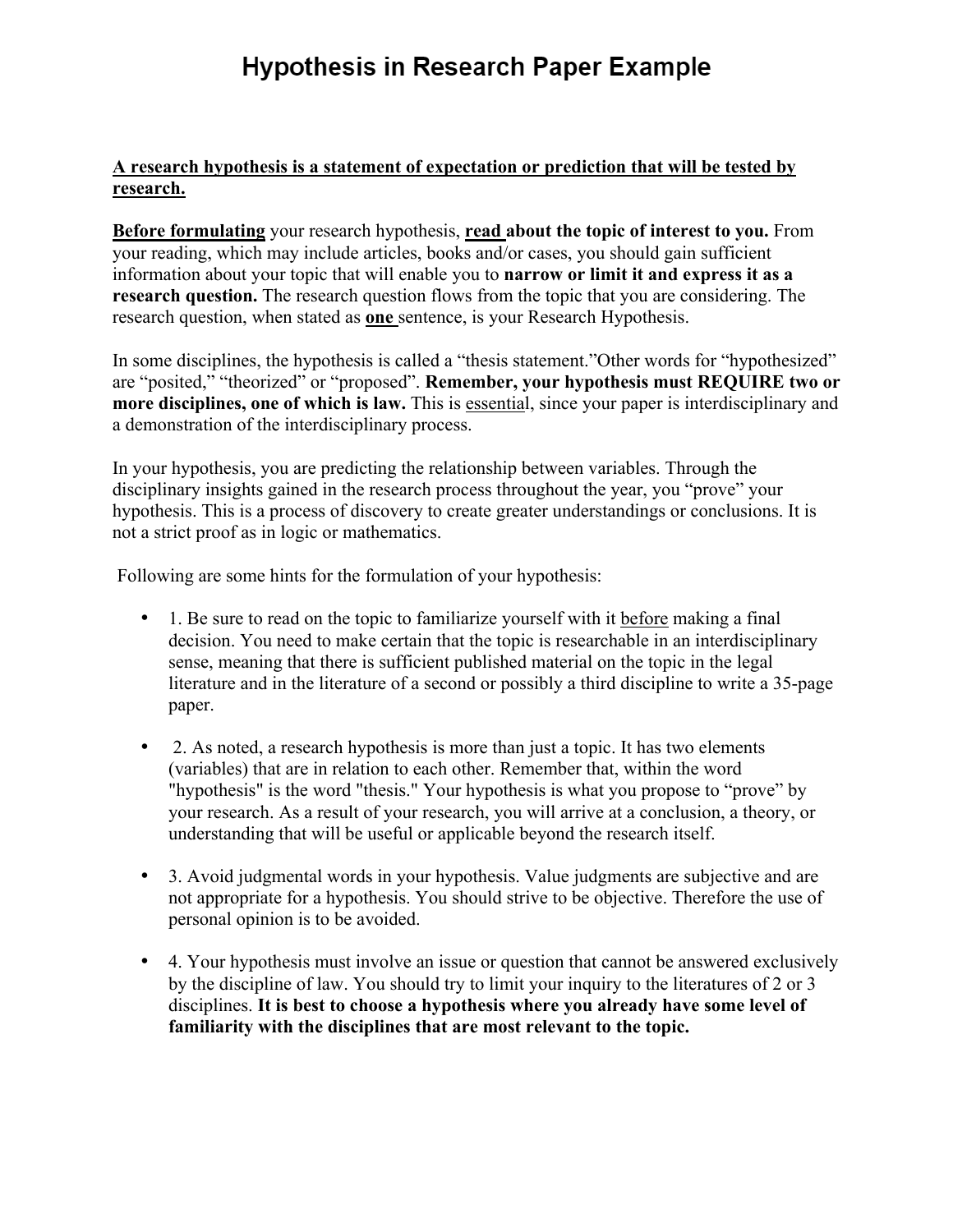# **Hypothesis in Research Paper Example**

#### **A research hypothesis is a statement of expectation or prediction that will be tested by research.**

**Before formulating** your research hypothesis, **read about the topic of interest to you.** From your reading, which may include articles, books and/or cases, you should gain sufficient information about your topic that will enable you to **narrow or limit it and express it as a research question.** The research question flows from the topic that you are considering. The research question, when stated as **one** sentence, is your Research Hypothesis.

In some disciplines, the hypothesis is called a "thesis statement."Other words for "hypothesized" are "posited," "theorized" or "proposed". **Remember, your hypothesis must REQUIRE two or more disciplines, one of which is law.** This is essential, since your paper is interdisciplinary and a demonstration of the interdisciplinary process.

In your hypothesis, you are predicting the relationship between variables. Through the disciplinary insights gained in the research process throughout the year, you "prove" your hypothesis. This is a process of discovery to create greater understandings or conclusions. It is not a strict proof as in logic or mathematics.

Following are some hints for the formulation of your hypothesis:

- 1. Be sure to read on the topic to familiarize yourself with it before making a final decision. You need to make certain that the topic is researchable in an interdisciplinary sense, meaning that there is sufficient published material on the topic in the legal literature and in the literature of a second or possibly a third discipline to write a 35-page paper.
- 2. As noted, a research hypothesis is more than just a topic. It has two elements (variables) that are in relation to each other. Remember that, within the word "hypothesis" is the word "thesis." Your hypothesis is what you propose to "prove" by your research. As a result of your research, you will arrive at a conclusion, a theory, or understanding that will be useful or applicable beyond the research itself.
- 3. Avoid judgmental words in your hypothesis. Value judgments are subjective and are not appropriate for a hypothesis. You should strive to be objective. Therefore the use of personal opinion is to be avoided.
- 4. Your hypothesis must involve an issue or question that cannot be answered exclusively by the discipline of law. You should try to limit your inquiry to the literatures of 2 or 3 disciplines. **It is best to choose a hypothesis where you already have some level of familiarity with the disciplines that are most relevant to the topic.**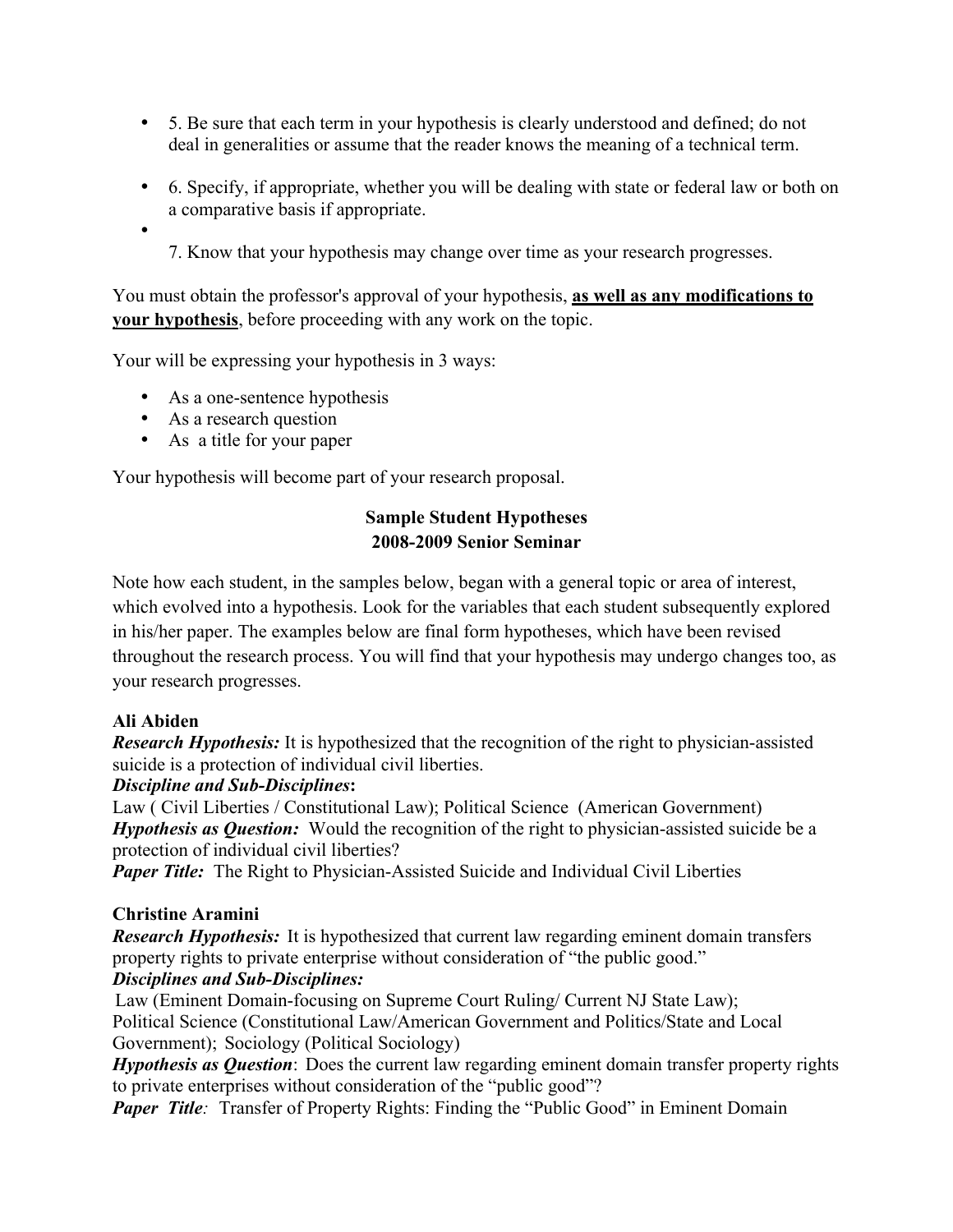- 5. Be sure that each term in your hypothesis is clearly understood and defined; do not deal in generalities or assume that the reader knows the meaning of a technical term.
- 6. Specify, if appropriate, whether you will be dealing with state or federal law or both on a comparative basis if appropriate.
- - 7. Know that your hypothesis may change over time as your research progresses.

You must obtain the professor's approval of your hypothesis, **as well as any modifications to your hypothesis**, before proceeding with any work on the topic.

Your will be expressing your hypothesis in 3 ways:

- As a one-sentence hypothesis
- As a research question
- As a title for your paper

Your hypothesis will become part of your research proposal.

# **Sample Student Hypotheses 2008-2009 Senior Seminar**

Note how each student, in the samples below, began with a general topic or area of interest, which evolved into a hypothesis. Look for the variables that each student subsequently explored in his/her paper. The examples below are final form hypotheses, which have been revised throughout the research process. You will find that your hypothesis may undergo changes too, as your research progresses.

#### **Ali Abiden**

*Research Hypothesis:* It is hypothesized that the recognition of the right to physician-assisted suicide is a protection of individual civil liberties.

#### *Discipline and Sub-Disciplines***:**

Law ( Civil Liberties / Constitutional Law); Political Science (American Government) *Hypothesis as Question:* Would the recognition of the right to physician-assisted suicide be a protection of individual civil liberties?

*Paper Title:* The Right to Physician-Assisted Suicide and Individual Civil Liberties

# **Christine Aramini**

*Research Hypothesis:* It is hypothesized that current law regarding eminent domain transfers property rights to private enterprise without consideration of "the public good."

# *Disciplines and Sub-Disciplines:*

Law (Eminent Domain-focusing on Supreme Court Ruling/ Current NJ State Law); Political Science (Constitutional Law/American Government and Politics/State and Local Government); Sociology (Political Sociology)

*Hypothesis as Question*: Does the current law regarding eminent domain transfer property rights to private enterprises without consideration of the "public good"?

*Paper Title*: Transfer of Property Rights: Finding the "Public Good" in Eminent Domain